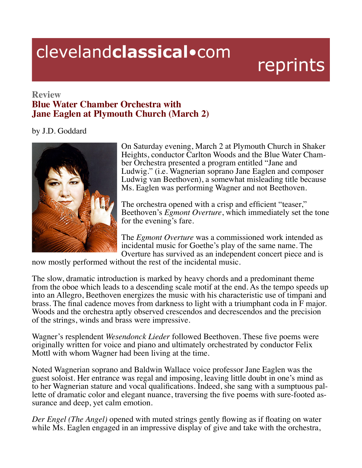## clevelandclassical.com

## reprints

## **Review Blue Water Chamber Orchestra with Jane Eaglen at Plymouth Church (March 2)**

## by J.D. Goddard



On Saturday evening, March 2 at Plymouth Church in Shaker Heights, conductor Carlton Woods and the Blue Water Chamber Orchestra presented a program entitled "Jane and Ludwig." (i.e. Wagnerian soprano Jane Eaglen and composer Ludwig van Beethoven), a somewhat misleading title because Ms. Eaglen was performing Wagner and not Beethoven.

The orchestra opened with a crisp and efficient "teaser," Beethoven's *Egmont Overture*, which immediately set the tone for the evening's fare.

The *Egmont Overture* was a commissioned work intended as incidental music for Goethe's play of the same name. The Overture has survived as an independent concert piece and is

now mostly performed without the rest of the incidental music.

The slow, dramatic introduction is marked by heavy chords and a predominant theme from the oboe which leads to a descending scale motif at the end. As the tempo speeds up into an Allegro, Beethoven energizes the music with his characteristic use of timpani and brass. The final cadence moves from darkness to light with a triumphant coda in F major. Woods and the orchestra aptly observed crescendos and decrescendos and the precision of the strings, winds and brass were impressive.

Wagner's resplendent *Wesendonck Lieder* followed Beethoven. These five poems were originally written for voice and piano and ultimately orchestrated by conductor Felix Mottl with whom Wagner had been living at the time.

Noted Wagnerian soprano and Baldwin Wallace voice professor Jane Eaglen was the guest soloist. Her entrance was regal and imposing, leaving little doubt in one's mind as to her Wagnerian stature and vocal qualifications. Indeed, she sang with a sumptuous pallette of dramatic color and elegant nuance, traversing the five poems with sure-footed assurance and deep, yet calm emotion.

*Der Engel (The Angel)* opened with muted strings gently flowing as if floating on water while Ms. Eaglen engaged in an impressive display of give and take with the orchestra,